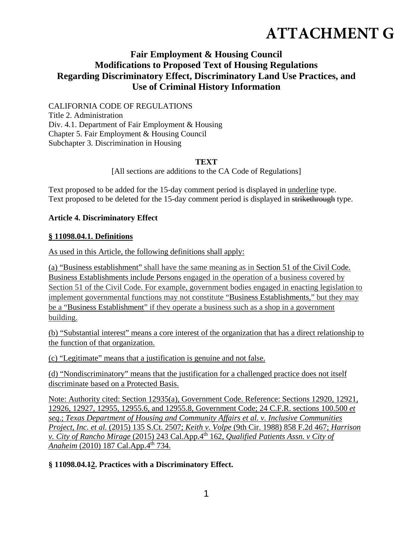# **ATTACHMENT G**

# **Fair Employment & Housing Council Modifications to Proposed Text of Housing Regulations Regarding Discriminatory Effect, Discriminatory Land Use Practices, and Use of Criminal History Information**

CALIFORNIA CODE OF REGULATIONS Title 2. Administration Div. 4.1. Department of Fair Employment & Housing Chapter 5. Fair Employment & Housing Council Subchapter 3. Discrimination in Housing

#### **TEXT**

[All sections are additions to the CA Code of Regulations]

Text proposed to be added for the 15-day comment period is displayed in underline type. Text proposed to be deleted for the 15-day comment period is displayed in strikethrough type.

#### **Article 4. Discriminatory Effect**

#### **§ 11098.04.1. Definitions**

As used in this Article, the following definitions shall apply:

(a) "Business establishment" shall have the same meaning as in Section 51 of the Civil Code. Business Establishments include Persons engaged in the operation of a business covered by Section 51 of the Civil Code. For example, government bodies engaged in enacting legislation to implement governmental functions may not constitute "Business Establishments," but they may be a "Business Establishment" if they operate a business such as a shop in a government building.

(b) "Substantial interest" means a core interest of the organization that has a direct relationship to the function of that organization.

(c) "Legitimate" means that a justification is genuine and not false.

(d) "Nondiscriminatory" means that the justification for a challenged practice does not itself discriminate based on a Protected Basis.

Note: Authority cited: Section 12935(a), Government Code. Reference: Sections 12920, 12921, 12926, 12927, 12955, 12955.6, and 12955.8, Government Code; 24 C.F.R. sections 100.500 *et seq*.; *Texas Department of Housing and Community Affairs et al. v. Inclusive Communities Project, Inc. et al.* (2015) 135 S.Ct. 2507; *Keith v. Volpe* (9th Cir. 1988) 858 F.2d 467; *Harrison v. City of Rancho Mirage* (2015) 243 Cal.App.4th 162, *Qualified Patients Assn. v City of Anaheim* (2010) 187 Cal.App.4<sup>th</sup> 734.

#### **§ 11098.04.12. Practices with a Discriminatory Effect.**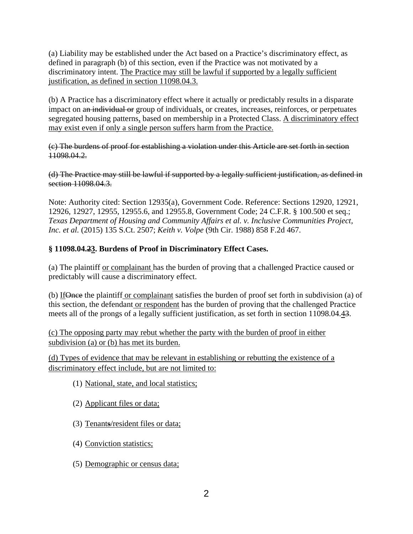(a) Liability may be established under the Act based on a Practice's discriminatory effect, as defined in paragraph (b) of this section, even if the Practice was not motivated by a discriminatory intent. The Practice may still be lawful if supported by a legally sufficient justification, as defined in section 11098.04.3.

(b) A Practice has a discriminatory effect where it actually or predictably results in a disparate impact on an individual or group of individuals, or creates, increases, reinforces, or perpetuates segregated housing patterns, based on membership in a Protected Class. A discriminatory effect may exist even if only a single person suffers harm from the Practice.

(c) The burdens of proof for establishing a violation under this Article are set forth in section 11098.04.2.

(d) The Practice may still be lawful if supported by a legally sufficient justification, as defined in section 11098.04.3.

Note: Authority cited: Section 12935(a), Government Code. Reference: Sections 12920, 12921, 12926, 12927, 12955, 12955.6, and 12955.8, Government Code; 24 C.F.R. § 100.500 et seq.; *Texas Department of Housing and Community Affairs et al. v. Inclusive Communities Project, Inc. et al.* (2015) 135 S.Ct. 2507; *Keith v. Volpe* (9th Cir. 1988) 858 F.2d 467.

## **§ 11098.04.23. Burdens of Proof in Discriminatory Effect Cases.**

(a) The plaintiff or complainant has the burden of proving that a challenged Practice caused or predictably will cause a discriminatory effect.

(b) IfOnce the plaintiff or complainant satisfies the burden of proof set forth in subdivision (a) of this section, the defendant or respondent has the burden of proving that the challenged Practice meets all of the prongs of a legally sufficient justification, as set forth in section 11098.04.43.

(c) The opposing party may rebut whether the party with the burden of proof in either subdivision (a) or (b) has met its burden.

(d) Types of evidence that may be relevant in establishing or rebutting the existence of a discriminatory effect include, but are not limited to:

- (1) National, state, and local statistics;
- (2) Applicant files or data;
- (3) Tenants/resident files or data;
- (4) Conviction statistics;
- (5) Demographic or census data;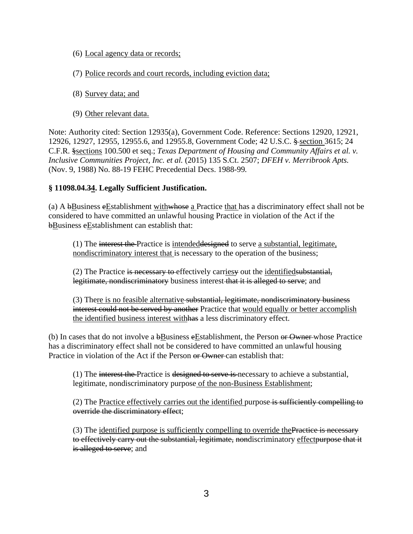- (6) Local agency data or records;
- (7) Police records and court records, including eviction data;
- (8) Survey data; and
- (9) Other relevant data.

Note: Authority cited: Section 12935(a), Government Code. Reference: Sections 12920, 12921, 12926, 12927, 12955, 12955.6, and 12955.8, Government Code; 42 U.S.C. § section 3615; 24 C.F.R. §sections 100.500 et seq.; *Texas Department of Housing and Community Affairs et al. v. Inclusive Communities Project, Inc. et al.* (2015) 135 S.Ct. 2507; *DFEH v. Merribrook Apts.*  (Nov. 9, 1988) No. 88-19 FEHC Precedential Decs. 1988-99*.*

#### **§ 11098.04.34. Legally Sufficient Justification.**

(a) A bBusiness eEstablishment with whose a Practice that has a discriminatory effect shall not be considered to have committed an unlawful housing Practice in violation of the Act if the bBusiness eEstablishment can establish that:

 $(1)$  The interest the Practice is intended designed to serve a substantial, legitimate, nondiscriminatory interest that is necessary to the operation of the business;

 $(2)$  The Practice is necessary to effectively carriesy out the identified substantial, legitimate, nondiscriminatory business interest that it is alleged to serve; and

(3) There is no feasible alternative substantial, legitimate, nondiscriminatory business interest could not be served by another Practice that would equally or better accomplish the identified business interest withhas a less discriminatory effect.

(b) In cases that do not involve a bBusiness eEstablishment, the Person or Owner whose Practice has a discriminatory effect shall not be considered to have committed an unlawful housing Practice in violation of the Act if the Person or Owner can establish that:

(1) The interest the Practice is designed to serve is necessary to achieve a substantial, legitimate, nondiscriminatory purpose of the non-Business Establishment;

(2) The Practice effectively carries out the identified purpose is sufficiently compelling to override the discriminatory effect;

(3) The identified purpose is sufficiently compelling to override the Practice is necessary to effectively carry out the substantial, legitimate, nondiscriminatory effect purpose that it is alleged to serve; and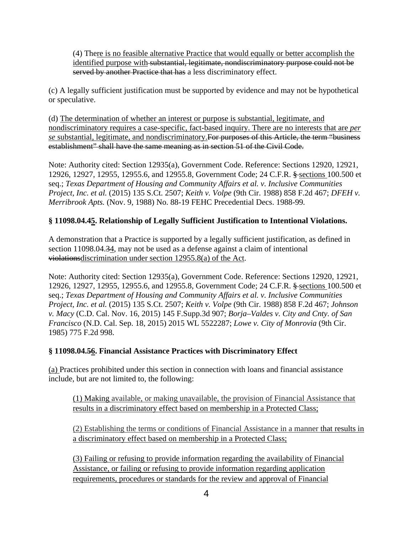(4) There is no feasible alternative Practice that would equally or better accomplish the identified purpose with substantial, legitimate, nondiscriminatory purpose could not be served by another Practice that has a less discriminatory effect.

(c) A legally sufficient justification must be supported by evidence and may not be hypothetical or speculative.

(d) The determination of whether an interest or purpose is substantial, legitimate, and nondiscriminatory requires a case-specific, fact-based inquiry. There are no interests that are *per se* substantial, legitimate, and nondiscriminatory.For purposes of this Article, the term "business establishment" shall have the same meaning as in section 51 of the Civil Code.

Note: Authority cited: Section 12935(a), Government Code. Reference: Sections 12920, 12921, 12926, 12927, 12955, 12955.6, and 12955.8, Government Code; 24 C.F.R. § sections 100.500 et seq.; *Texas Department of Housing and Community Affairs et al. v. Inclusive Communities Project, Inc. et al.* (2015) 135 S.Ct. 2507; *Keith v. Volpe* (9th Cir. 1988) 858 F.2d 467; *DFEH v. Merribrook Apts.* (Nov. 9, 1988) No. 88-19 FEHC Precedential Decs. 1988-99*.*

## **§ 11098.04.45. Relationship of Legally Sufficient Justification to Intentional Violations.**

A demonstration that a Practice is supported by a legally sufficient justification, as defined in section 11098.04.34, may not be used as a defense against a claim of intentional violationsdiscrimination under section 12955.8(a) of the Act.

Note: Authority cited: Section 12935(a), Government Code. Reference: Sections 12920, 12921, 12926, 12927, 12955, 12955.6, and 12955.8, Government Code; 24 C.F.R. § sections 100.500 et seq.; *Texas Department of Housing and Community Affairs et al. v. Inclusive Communities Project, Inc. et al.* (2015) 135 S.Ct. 2507; *Keith v. Volpe* (9th Cir. 1988) 858 F.2d 467; *Johnson v. Macy* (C.D. Cal. Nov. 16, 2015) 145 F.Supp.3d 907; *Borja–Valdes v. City and Cnty. of San Francisco* (N.D. Cal. Sep. 18, 2015) 2015 WL 5522287; *Lowe v. City of Monrovia* (9th Cir. 1985) 775 F.2d 998.

#### **§ 11098.04.56. Financial Assistance Practices with Discriminatory Effect**

(a) Practices prohibited under this section in connection with loans and financial assistance include, but are not limited to, the following:

(1) Making available, or making unavailable, the provision of Financial Assistance that results in a discriminatory effect based on membership in a Protected Class;

(2) Establishing the terms or conditions of Financial Assistance in a manner that results in a discriminatory effect based on membership in a Protected Class;

(3) Failing or refusing to provide information regarding the availability of Financial Assistance, or failing or refusing to provide information regarding application requirements, procedures or standards for the review and approval of Financial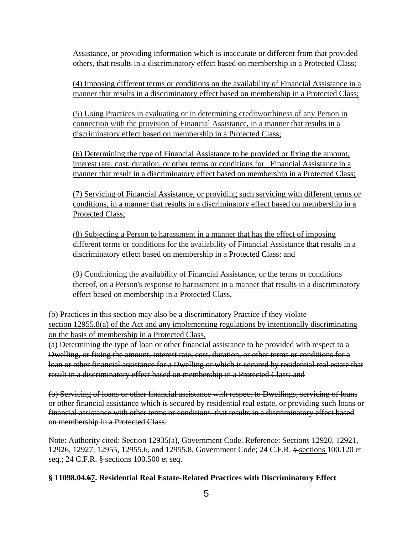Assistance, or providing information which is inaccurate or different from that provided others, that results in a discriminatory effect based on membership in a Protected Class;

(4) Imposing different terms or conditions on the availability of Financial Assistance in a manner that results in a discriminatory effect based on membership in a Protected Class;

(5) Using Practices in evaluating or in determining creditworthiness of any Person in connection with the provision of Financial Assistance, in a manner that results in a discriminatory effect based on membership in a Protected Class;

(6) Determining the type of Financial Assistance to be provided or fixing the amount, interest rate, cost, duration, or other terms or conditions for Financial Assistance in a manner that result in a discriminatory effect based on membership in a Protected Class;

(7) Servicing of Financial Assistance, or providing such servicing with different terms or conditions, in a manner that results in a discriminatory effect based on membership in a Protected Class;

(8) Subjecting a Person to harassment in a manner that has the effect of imposing different terms or conditions for the availability of Financial Assistance that results in a discriminatory effect based on membership in a Protected Class; and

(9) Conditioning the availability of Financial Assistance, or the terms or conditions thereof, on a Person's response to harassment in a manner that results in a discriminatory effect based on membership in a Protected Class.

(b) Practices in this section may also be a discriminatory Practice if they violate section 12955.8(a) of the Act and any implementing regulations by intentionally discriminating on the basis of membership in a Protected Class.

(a) Determining the type of loan or other financial assistance to be provided with respect to a Dwelling, or fixing the amount, interest rate, cost, duration, or other terms or conditions for a loan or other financial assistance for a Dwelling or which is secured by residential real estate that result in a discriminatory effect based on membership in a Protected Class; and

(b) Servicing of loans or other financial assistance with respect to Dwellings, servicing of loans or other financial assistance which is secured by residential real estate, or providing such loans or financial assistance with other terms or conditions that results in a discriminatory effect based on membership in a Protected Class.

Note: Authority cited: Section 12935(a), Government Code. Reference: Sections 12920, 12921, 12926, 12927, 12955, 12955.6, and 12955.8, Government Code; 24 C.F.R. § sections 100.120 et seq.; 24 C.F.R. § sections 100.500 et seq.

## **§ 11098.04.67. Residential Real Estate-Related Practices with Discriminatory Effect**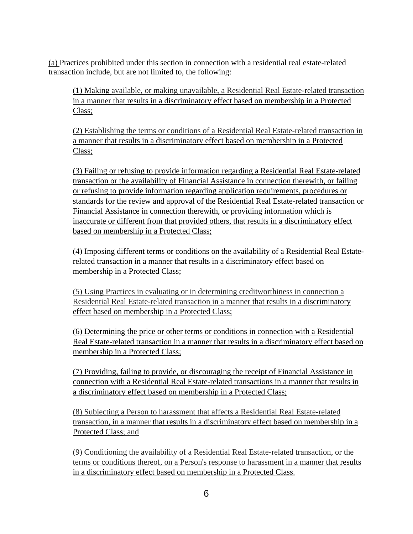(a) Practices prohibited under this section in connection with a residential real estate-related transaction include, but are not limited to, the following:

(1) Making available, or making unavailable, a Residential Real Estate-related transaction in a manner that results in a discriminatory effect based on membership in a Protected Class;

(2) Establishing the terms or conditions of a Residential Real Estate-related transaction in a manner that results in a discriminatory effect based on membership in a Protected Class;

(3) Failing or refusing to provide information regarding a Residential Real Estate-related transaction or the availability of Financial Assistance in connection therewith, or failing or refusing to provide information regarding application requirements, procedures or standards for the review and approval of the Residential Real Estate-related transaction or Financial Assistance in connection therewith, or providing information which is inaccurate or different from that provided others, that results in a discriminatory effect based on membership in a Protected Class;

(4) Imposing different terms or conditions on the availability of a Residential Real Estaterelated transaction in a manner that results in a discriminatory effect based on membership in a Protected Class;

(5) Using Practices in evaluating or in determining creditworthiness in connection a Residential Real Estate-related transaction in a manner that results in a discriminatory effect based on membership in a Protected Class;

(6) Determining the price or other terms or conditions in connection with a Residential Real Estate-related transaction in a manner that results in a discriminatory effect based on membership in a Protected Class;

(7) Providing, failing to provide, or discouraging the receipt of Financial Assistance in connection with a Residential Real Estate-related transactions in a manner that results in a discriminatory effect based on membership in a Protected Class;

(8) Subjecting a Person to harassment that affects a Residential Real Estate-related transaction, in a manner that results in a discriminatory effect based on membership in a Protected Class; and

(9) Conditioning the availability of a Residential Real Estate-related transaction, or the terms or conditions thereof, on a Person's response to harassment in a manner that results in a discriminatory effect based on membership in a Protected Class.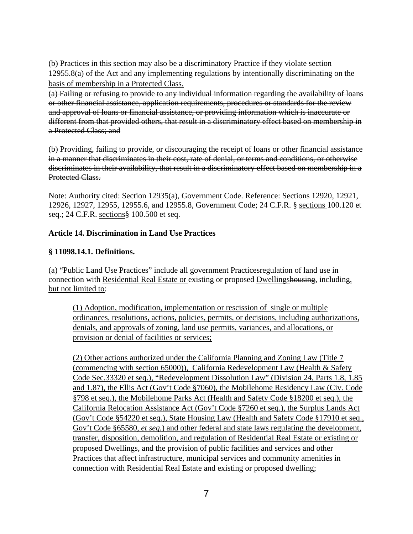(b) Practices in this section may also be a discriminatory Practice if they violate section 12955.8(a) of the Act and any implementing regulations by intentionally discriminating on the basis of membership in a Protected Class.

(a) Failing or refusing to provide to any individual information regarding the availability of loans or other financial assistance, application requirements, procedures or standards for the review and approval of loans or financial assistance, or providing information which is inaccurate or different from that provided others, that result in a discriminatory effect based on membership in a Protected Class; and

(b) Providing, failing to provide, or discouraging the receipt of loans or other financial assistance in a manner that discriminates in their cost, rate of denial, or terms and conditions, or otherwise discriminates in their availability, that result in a discriminatory effect based on membership in a Protected Class.

Note: Authority cited: Section 12935(a), Government Code. Reference: Sections 12920, 12921, 12926, 12927, 12955, 12955.6, and 12955.8, Government Code; 24 C.F.R. § sections 100.120 et seq.; 24 C.F.R. sections§ 100.500 et seq.

#### **Article 14. Discrimination in Land Use Practices**

#### **§ 11098.14.1. Definitions.**

(a) "Public Land Use Practices" include all government Practicesregulation of land use in connection with Residential Real Estate or existing or proposed Dwellingshousing, including, but not limited to:

(1) Adoption, modification, implementation or rescission of single or multiple ordinances, resolutions, actions, policies, permits, or decisions, including authorizations, denials, and approvals of zoning, land use permits, variances, and allocations, or provision or denial of facilities or services;

(2) Other actions authorized under the California Planning and Zoning Law (Title 7 (commencing with section 65000)), California Redevelopment Law (Health & Safety Code Sec.33320 et seq.), "Redevelopment Dissolution Law" (Division 24, Parts 1.8, 1.85 and 1.87), the Ellis Act (Gov't Code §7060), the Mobilehome Residency Law (Civ. Code §798 et seq.), the Mobilehome Parks Act (Health and Safety Code §18200 et seq.), the California Relocation Assistance Act (Gov't Code §7260 et seq.), the Surplus Lands Act (Gov't Code §54220 et seq.), State Housing Law (Health and Safety Code §17910 et seq., Gov't Code §65580, *et seq.*) and other federal and state laws regulating the development, transfer, disposition, demolition, and regulation of Residential Real Estate or existing or proposed Dwellings, and the provision of public facilities and services and other Practices that affect infrastructure, municipal services and community amenities in connection with Residential Real Estate and existing or proposed dwelling;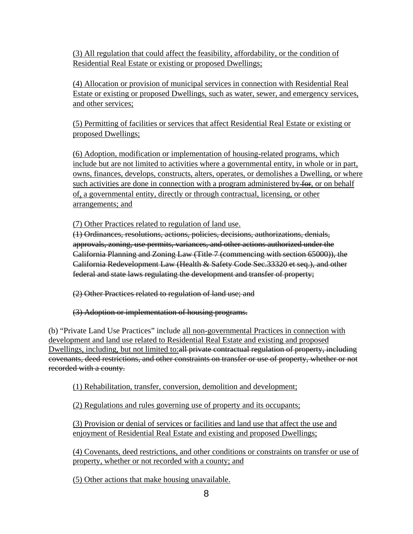(3) All regulation that could affect the feasibility, affordability, or the condition of Residential Real Estate or existing or proposed Dwellings;

(4) Allocation or provision of municipal services in connection with Residential Real Estate or existing or proposed Dwellings, such as water, sewer, and emergency services, and other services;

(5) Permitting of facilities or services that affect Residential Real Estate or existing or proposed Dwellings;

(6) Adoption, modification or implementation of housing-related programs, which include but are not limited to activities where a governmental entity, in whole or in part, owns, finances, develops, constructs, alters, operates, or demolishes a Dwelling, or where such activities are done in connection with a program administered by  $\frac{1}{\sqrt{1-\epsilon}}$ , or on behalf of, a governmental entity, directly or through contractual, licensing, or other arrangements; and

(7) Other Practices related to regulation of land use.

(1) Ordinances, resolutions, actions, policies, decisions, authorizations, denials, approvals, zoning, use permits, variances, and other actions authorized under the California Planning and Zoning Law (Title 7 (commencing with section 65000)), the California Redevelopment Law (Health & Safety Code Sec.33320 et seq.), and other federal and state laws regulating the development and transfer of property;

(2) Other Practices related to regulation of land use; and

(3) Adoption or implementation of housing programs.

(b) "Private Land Use Practices" include all non-governmental Practices in connection with development and land use related to Residential Real Estate and existing and proposed Dwellings, including, but not limited to:all private contractual regulation of property, including covenants, deed restrictions, and other constraints on transfer or use of property, whether or not recorded with a county.

(1) Rehabilitation, transfer, conversion, demolition and development;

(2) Regulations and rules governing use of property and its occupants;

(3) Provision or denial of services or facilities and land use that affect the use and enjoyment of Residential Real Estate and existing and proposed Dwellings;

(4) Covenants, deed restrictions, and other conditions or constraints on transfer or use of property, whether or not recorded with a county; and

(5) Other actions that make housing unavailable.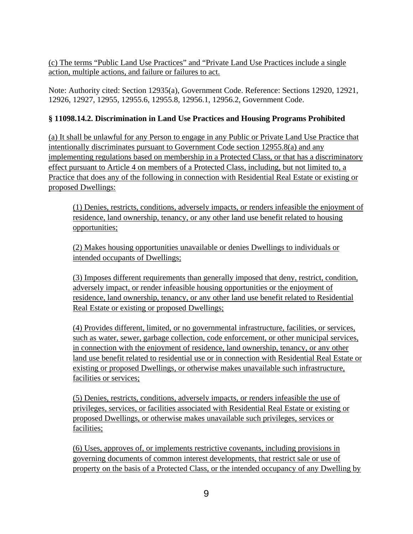(c) The terms "Public Land Use Practices" and "Private Land Use Practices include a single action, multiple actions, and failure or failures to act.

Note: Authority cited: Section 12935(a), Government Code. Reference: Sections 12920, 12921, 12926, 12927, 12955, 12955.6, 12955.8, 12956.1, 12956.2, Government Code.

## **§ 11098.14.2. Discrimination in Land Use Practices and Housing Programs Prohibited**

(a) It shall be unlawful for any Person to engage in any Public or Private Land Use Practice that intentionally discriminates pursuant to Government Code section 12955.8(a) and any implementing regulations based on membership in a Protected Class, or that has a discriminatory effect pursuant to Article 4 on members of a Protected Class, including, but not limited to, a Practice that does any of the following in connection with Residential Real Estate or existing or proposed Dwellings:

(1) Denies, restricts, conditions, adversely impacts, or renders infeasible the enjoyment of residence, land ownership, tenancy, or any other land use benefit related to housing opportunities;

(2) Makes housing opportunities unavailable or denies Dwellings to individuals or intended occupants of Dwellings;

(3) Imposes different requirements than generally imposed that deny, restrict, condition, adversely impact, or render infeasible housing opportunities or the enjoyment of residence, land ownership, tenancy, or any other land use benefit related to Residential Real Estate or existing or proposed Dwellings;

(4) Provides different, limited, or no governmental infrastructure, facilities, or services, such as water, sewer, garbage collection, code enforcement, or other municipal services, in connection with the enjoyment of residence, land ownership, tenancy, or any other land use benefit related to residential use or in connection with Residential Real Estate or existing or proposed Dwellings, or otherwise makes unavailable such infrastructure, facilities or services;

(5) Denies, restricts, conditions, adversely impacts, or renders infeasible the use of privileges, services, or facilities associated with Residential Real Estate or existing or proposed Dwellings, or otherwise makes unavailable such privileges, services or facilities;

(6) Uses, approves of, or implements restrictive covenants, including provisions in governing documents of common interest developments, that restrict sale or use of property on the basis of a Protected Class, or the intended occupancy of any Dwelling by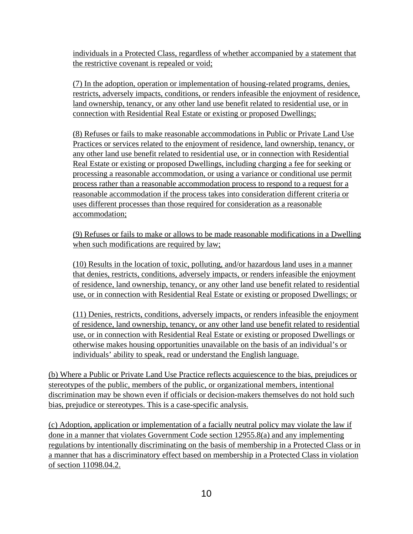individuals in a Protected Class, regardless of whether accompanied by a statement that the restrictive covenant is repealed or void;

(7) In the adoption, operation or implementation of housing-related programs, denies, restricts, adversely impacts, conditions, or renders infeasible the enjoyment of residence, land ownership, tenancy, or any other land use benefit related to residential use, or in connection with Residential Real Estate or existing or proposed Dwellings;

(8) Refuses or fails to make reasonable accommodations in Public or Private Land Use Practices or services related to the enjoyment of residence, land ownership, tenancy, or any other land use benefit related to residential use, or in connection with Residential Real Estate or existing or proposed Dwellings, including charging a fee for seeking or processing a reasonable accommodation, or using a variance or conditional use permit process rather than a reasonable accommodation process to respond to a request for a reasonable accommodation if the process takes into consideration different criteria or uses different processes than those required for consideration as a reasonable accommodation;

(9) Refuses or fails to make or allows to be made reasonable modifications in a Dwelling when such modifications are required by law;

(10) Results in the location of toxic, polluting, and/or hazardous land uses in a manner that denies, restricts, conditions, adversely impacts, or renders infeasible the enjoyment of residence, land ownership, tenancy, or any other land use benefit related to residential use, or in connection with Residential Real Estate or existing or proposed Dwellings; or

(11) Denies, restricts, conditions, adversely impacts, or renders infeasible the enjoyment of residence, land ownership, tenancy, or any other land use benefit related to residential use, or in connection with Residential Real Estate or existing or proposed Dwellings or otherwise makes housing opportunities unavailable on the basis of an individual's or individuals' ability to speak, read or understand the English language.

(b) Where a Public or Private Land Use Practice reflects acquiescence to the bias, prejudices or stereotypes of the public, members of the public, or organizational members, intentional discrimination may be shown even if officials or decision-makers themselves do not hold such bias, prejudice or stereotypes. This is a case-specific analysis.

(c) Adoption, application or implementation of a facially neutral policy may violate the law if done in a manner that violates Government Code section 12955.8(a) and any implementing regulations by intentionally discriminating on the basis of membership in a Protected Class or in a manner that has a discriminatory effect based on membership in a Protected Class in violation of section 11098.04.2.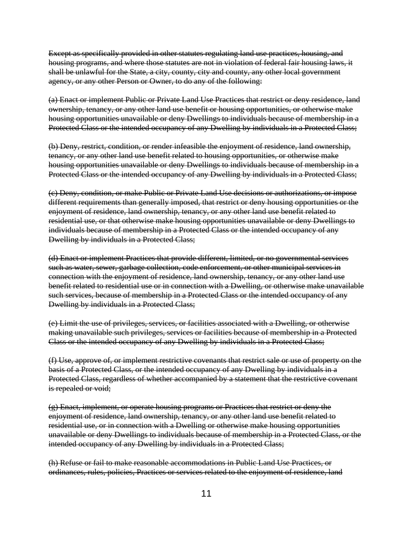Except as specifically provided in other statutes regulating land use practices, housing, and housing programs, and where those statutes are not in violation of federal fair housing laws, it shall be unlawful for the State, a city, county, city and county, any other local government agency, or any other Person or Owner, to do any of the following:

(a) Enact or implement Public or Private Land Use Practices that restrict or deny residence, land ownership, tenancy, or any other land use benefit or housing opportunities, or otherwise make housing opportunities unavailable or deny Dwellings to individuals because of membership in a Protected Class or the intended occupancy of any Dwelling by individuals in a Protected Class;

(b) Deny, restrict, condition, or render infeasible the enjoyment of residence, land ownership, tenancy, or any other land use benefit related to housing opportunities, or otherwise make housing opportunities unavailable or deny Dwellings to individuals because of membership in a Protected Class or the intended occupancy of any Dwelling by individuals in a Protected Class;

(c) Deny, condition, or make Public or Private Land Use decisions or authorizations, or impose different requirements than generally imposed, that restrict or deny housing opportunities or the enjoyment of residence, land ownership, tenancy, or any other land use benefit related to residential use, or that otherwise make housing opportunities unavailable or deny Dwellings to individuals because of membership in a Protected Class or the intended occupancy of any Dwelling by individuals in a Protected Class;

(d) Enact or implement Practices that provide different, limited, or no governmental services such as water, sewer, garbage collection, code enforcement, or other municipal services in connection with the enjoyment of residence, land ownership, tenancy, or any other land use benefit related to residential use or in connection with a Dwelling, or otherwise make unavailable such services, because of membership in a Protected Class or the intended occupancy of any Dwelling by individuals in a Protected Class;

(e) Limit the use of privileges, services, or facilities associated with a Dwelling, or otherwise making unavailable such privileges, services or facilities because of membership in a Protected Class or the intended occupancy of any Dwelling by individuals in a Protected Class;

(f) Use, approve of, or implement restrictive covenants that restrict sale or use of property on the basis of a Protected Class, or the intended occupancy of any Dwelling by individuals in a Protected Class, regardless of whether accompanied by a statement that the restrictive covenant is repealed or void;

(g) Enact, implement, or operate housing programs or Practices that restrict or deny the enjoyment of residence, land ownership, tenancy, or any other land use benefit related to residential use, or in connection with a Dwelling or otherwise make housing opportunities unavailable or deny Dwellings to individuals because of membership in a Protected Class, or the intended occupancy of any Dwelling by individuals in a Protected Class;

(h) Refuse or fail to make reasonable accommodations in Public Land Use Practices, or ordinances, rules, policies, Practices or services related to the enjoyment of residence, land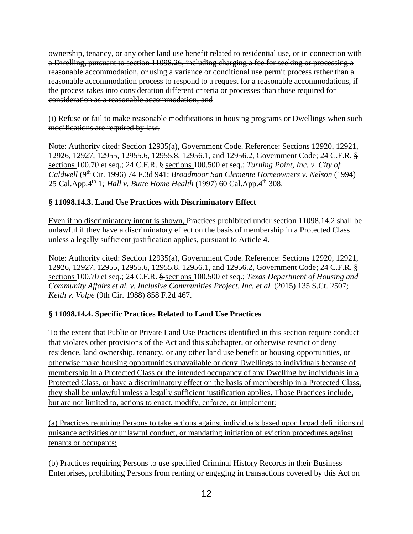ownership, tenancy, or any other land use benefit related to residential use, or in connection with a Dwelling, pursuant to section 11098.26, including charging a fee for seeking or processing a reasonable accommodation, or using a variance or conditional use permit process rather than a reasonable accommodation process to respond to a request for a reasonable accommodations, if the process takes into consideration different criteria or processes than those required for consideration as a reasonable accommodation; and

(i) Refuse or fail to make reasonable modifications in housing programs or Dwellings when such modifications are required by law.

Note: Authority cited: Section 12935(a), Government Code. Reference: Sections 12920, 12921, 12926, 12927, 12955, 12955.6, 12955.8, 12956.1, and 12956.2, Government Code; 24 C.F.R. § sections 100.70 et seq.; 24 C.F.R. § sections 100.500 et seq.; *Turning Point, Inc. v. City of Caldwell* (9th Cir. 1996) 74 F.3d 941; *Broadmoor San Clemente Homeowners v. Nelson* (1994) 25 Cal.App.4th 1*; Hall v. Butte Home Health* (1997) 60 Cal.App.4th 308.

#### **§ 11098.14.3. Land Use Practices with Discriminatory Effect**

Even if no discriminatory intent is shown, Practices prohibited under section 11098.14.2 shall be unlawful if they have a discriminatory effect on the basis of membership in a Protected Class unless a legally sufficient justification applies, pursuant to Article 4.

Note: Authority cited: Section 12935(a), Government Code. Reference: Sections 12920, 12921, 12926, 12927, 12955, 12955.6, 12955.8, 12956.1, and 12956.2, Government Code; 24 C.F.R. § sections 100.70 et seq.; 24 C.F.R. § sections 100.500 et seq.; *Texas Department of Housing and Community Affairs et al. v. Inclusive Communities Project, Inc. et al.* (2015) 135 S.Ct. 2507; *Keith v. Volpe* (9th Cir. 1988) 858 F.2d 467.

## **§ 11098.14.4. Specific Practices Related to Land Use Practices**

To the extent that Public or Private Land Use Practices identified in this section require conduct that violates other provisions of the Act and this subchapter, or otherwise restrict or deny residence, land ownership, tenancy, or any other land use benefit or housing opportunities, or otherwise make housing opportunities unavailable or deny Dwellings to individuals because of membership in a Protected Class or the intended occupancy of any Dwelling by individuals in a Protected Class, or have a discriminatory effect on the basis of membership in a Protected Class, they shall be unlawful unless a legally sufficient justification applies. Those Practices include, but are not limited to, actions to enact, modify, enforce, or implement:

(a) Practices requiring Persons to take actions against individuals based upon broad definitions of nuisance activities or unlawful conduct, or mandating initiation of eviction procedures against tenants or occupants;

(b) Practices requiring Persons to use specified Criminal History Records in their Business Enterprises, prohibiting Persons from renting or engaging in transactions covered by this Act on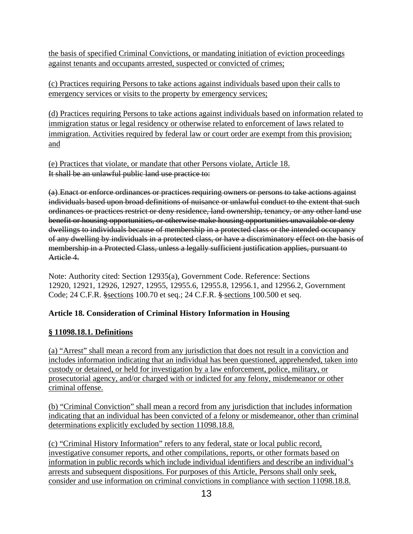the basis of specified Criminal Convictions, or mandating initiation of eviction proceedings against tenants and occupants arrested, suspected or convicted of crimes;

(c) Practices requiring Persons to take actions against individuals based upon their calls to emergency services or visits to the property by emergency services;

(d) Practices requiring Persons to take actions against individuals based on information related to immigration status or legal residency or otherwise related to enforcement of laws related to immigration. Activities required by federal law or court order are exempt from this provision; and

(e) Practices that violate, or mandate that other Persons violate, Article 18. It shall be an unlawful public land use practice to:

(a) Enact or enforce ordinances or practices requiring owners or persons to take actions against individuals based upon broad definitions of nuisance or unlawful conduct to the extent that such ordinances or practices restrict or deny residence, land ownership, tenancy, or any other land use benefit or housing opportunities, or otherwise make housing opportunities unavailable or deny dwellings to individuals because of membership in a protected class or the intended occupancy of any dwelling by individuals in a protected class, or have a discriminatory effect on the basis of membership in a Protected Class, unless a legally sufficient justification applies, pursuant to Article 4.

Note: Authority cited: Section 12935(a), Government Code. Reference: Sections 12920, 12921, 12926, 12927, 12955, 12955.6, 12955.8, 12956.1, and 12956.2, Government Code; 24 C.F.R. §sections 100.70 et seq.; 24 C.F.R. § sections 100.500 et seq.

## **Article 18. Consideration of Criminal History Information in Housing**

## **§ 11098.18.1. Definitions**

(a) "Arrest" shall mean a record from any jurisdiction that does not result in a conviction and includes information indicating that an individual has been questioned, apprehended, taken into custody or detained, or held for investigation by a law enforcement, police, military, or prosecutorial agency, and/or charged with or indicted for any felony, misdemeanor or other criminal offense.

(b) "Criminal Conviction" shall mean a record from any jurisdiction that includes information indicating that an individual has been convicted of a felony or misdemeanor, other than criminal determinations explicitly excluded by section 11098.18.8.

(c) "Criminal History Information" refers to any federal, state or local public record, investigative consumer reports, and other compilations, reports, or other formats based on information in public records which include individual identifiers and describe an individual's arrests and subsequent dispositions. For purposes of this Article, Persons shall only seek, consider and use information on criminal convictions in compliance with section 11098.18.8.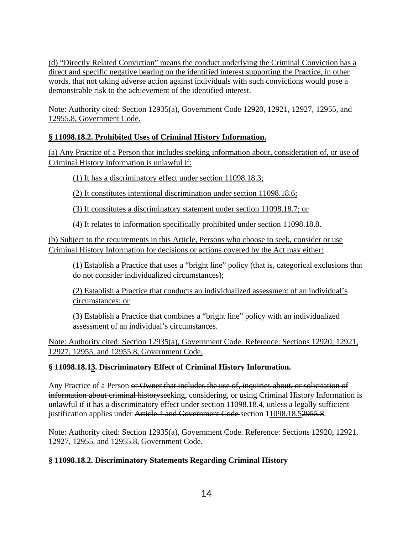(d) "Directly Related Conviction" means the conduct underlying the Criminal Conviction has a direct and specific negative bearing on the identified interest supporting the Practice, in other words, that not taking adverse action against individuals with such convictions would pose a demonstrable risk to the achievement of the identified interest.

Note: Authority cited: Section 12935(a), Government Code 12920, 12921, 12927, 12955, and 12955.8, Government Code.

## **§ 11098.18.2. Prohibited Uses of Criminal History Information.**

(a) Any Practice of a Person that includes seeking information about, consideration of, or use of Criminal History Information is unlawful if:

(1) It has a discriminatory effect under section 11098.18.3;

(2) It constitutes intentional discrimination under section 11098.18.6;

(3) It constitutes a discriminatory statement under section 11098.18.7; or

(4) It relates to information specifically prohibited under section 11098.18.8.

(b) Subject to the requirements in this Article, Persons who choose to seek, consider or use Criminal History Information for decisions or actions covered by the Act may either:

(1) Establish a Practice that uses a "bright line" policy (that is, categorical exclusions that do not consider individualized circumstances);

(2) Establish a Practice that conducts an individualized assessment of an individual's circumstances; or

(3) Establish a Practice that combines a "bright line" policy with an individualized assessment of an individual's circumstances.

Note: Authority cited: Section 12935(a), Government Code. Reference: Sections 12920, 12921, 12927, 12955, and 12955.8, Government Code.

## **§ 11098.18.13. Discriminatory Effect of Criminal History Information.**

Any Practice of a Person or Owner that includes the use of, inquiries about, or solicitation of information about criminal historyseeking, considering, or using Criminal History Information is unlawful if it has a discriminatory effect under section 11098.18.4, unless a legally sufficient justification applies under Article 4 and Government Code section 11098.18.52955.8.

Note: Authority cited: Section 12935(a), Government Code. Reference: Sections 12920, 12921, 12927, 12955, and 12955.8, Government Code.

## **§ 11098.18.2. Discriminatory Statements Regarding Criminal History**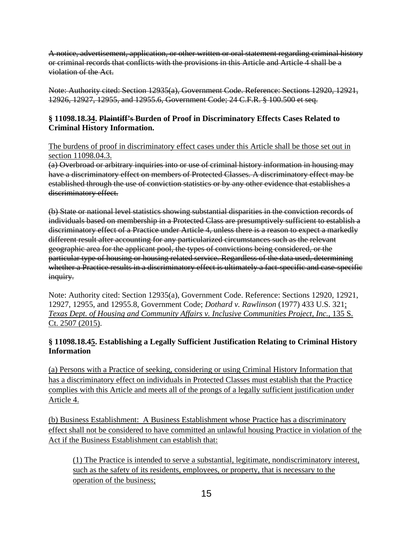A notice, advertisement, application, or other written or oral statement regarding criminal history or criminal records that conflicts with the provisions in this Article and Article 4 shall be a violation of the Act.

Note: Authority cited: Section 12935(a), Government Code. Reference: Sections 12920, 12921, 12926, 12927, 12955, and 12955.6, Government Code; 24 C.F.R. § 100.500 et seq.

#### **§ 11098.18.34. Plaintiff's Burden of Proof in Discriminatory Effects Cases Related to Criminal History Information.**

The burdens of proof in discriminatory effect cases under this Article shall be those set out in section 11098.04.3.

(a) Overbroad or arbitrary inquiries into or use of criminal history information in housing may have a discriminatory effect on members of Protected Classes. A discriminatory effect may be established through the use of conviction statistics or by any other evidence that establishes a discriminatory effect.

(b) State or national level statistics showing substantial disparities in the conviction records of individuals based on membership in a Protected Class are presumptively sufficient to establish a discriminatory effect of a Practice under Article 4, unless there is a reason to expect a markedly different result after accounting for any particularized circumstances such as the relevant geographic area for the applicant pool, the types of convictions being considered, or the particular type of housing or housing related service. Regardless of the data used, determining whether a Practice results in a discriminatory effect is ultimately a fact-specific and case-specific inquiry.

Note: Authority cited: Section 12935(a), Government Code. Reference: Sections 12920, 12921, 12927, 12955, and 12955.8, Government Code; *Dothard v. Rawlinson* (1977) 433 U.S. 321; *Texas Dept. of Housing and Community Affairs v. Inclusive Communities Project, Inc., 135 S.* Ct. 2507 (2015).

## **§ 11098.18.45. Establishing a Legally Sufficient Justification Relating to Criminal History Information**

(a) Persons with a Practice of seeking, considering or using Criminal History Information that has a discriminatory effect on individuals in Protected Classes must establish that the Practice complies with this Article and meets all of the prongs of a legally sufficient justification under Article 4.

(b) Business Establishment: A Business Establishment whose Practice has a discriminatory effect shall not be considered to have committed an unlawful housing Practice in violation of the Act if the Business Establishment can establish that:

(1) The Practice is intended to serve a substantial, legitimate, nondiscriminatory interest, such as the safety of its residents, employees, or property, that is necessary to the operation of the business;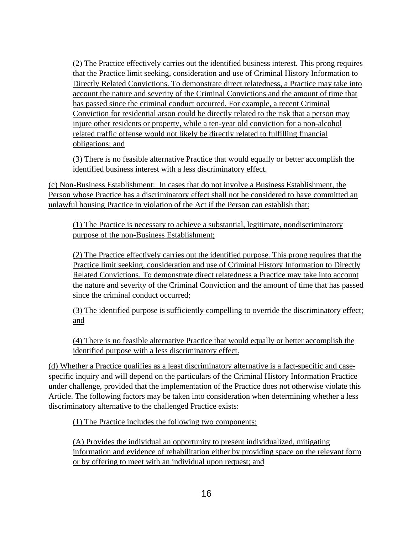(2) The Practice effectively carries out the identified business interest. This prong requires that the Practice limit seeking, consideration and use of Criminal History Information to Directly Related Convictions. To demonstrate direct relatedness, a Practice may take into account the nature and severity of the Criminal Convictions and the amount of time that has passed since the criminal conduct occurred. For example, a recent Criminal Conviction for residential arson could be directly related to the risk that a person may injure other residents or property, while a ten-year old conviction for a non-alcohol related traffic offense would not likely be directly related to fulfilling financial obligations; and

(3) There is no feasible alternative Practice that would equally or better accomplish the identified business interest with a less discriminatory effect.

(c) Non-Business Establishment: In cases that do not involve a Business Establishment, the Person whose Practice has a discriminatory effect shall not be considered to have committed an unlawful housing Practice in violation of the Act if the Person can establish that:

(1) The Practice is necessary to achieve a substantial, legitimate, nondiscriminatory purpose of the non-Business Establishment;

(2) The Practice effectively carries out the identified purpose. This prong requires that the Practice limit seeking, consideration and use of Criminal History Information to Directly Related Convictions. To demonstrate direct relatedness a Practice may take into account the nature and severity of the Criminal Conviction and the amount of time that has passed since the criminal conduct occurred;

(3) The identified purpose is sufficiently compelling to override the discriminatory effect; and

(4) There is no feasible alternative Practice that would equally or better accomplish the identified purpose with a less discriminatory effect.

(d) Whether a Practice qualifies as a least discriminatory alternative is a fact-specific and casespecific inquiry and will depend on the particulars of the Criminal History Information Practice under challenge, provided that the implementation of the Practice does not otherwise violate this Article. The following factors may be taken into consideration when determining whether a less discriminatory alternative to the challenged Practice exists:

(1) The Practice includes the following two components:

(A) Provides the individual an opportunity to present individualized, mitigating information and evidence of rehabilitation either by providing space on the relevant form or by offering to meet with an individual upon request; and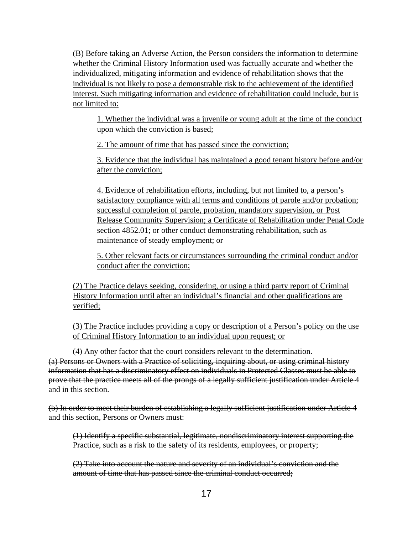(B) Before taking an Adverse Action, the Person considers the information to determine whether the Criminal History Information used was factually accurate and whether the individualized, mitigating information and evidence of rehabilitation shows that the individual is not likely to pose a demonstrable risk to the achievement of the identified interest. Such mitigating information and evidence of rehabilitation could include, but is not limited to:

1. Whether the individual was a juvenile or young adult at the time of the conduct upon which the conviction is based;

2. The amount of time that has passed since the conviction;

3. Evidence that the individual has maintained a good tenant history before and/or after the conviction;

4. Evidence of rehabilitation efforts, including, but not limited to, a person's satisfactory compliance with all terms and conditions of parole and/or probation; successful completion of parole, probation, mandatory supervision, or Post Release Community Supervision; a Certificate of Rehabilitation under Penal Code section 4852.01; or other conduct demonstrating rehabilitation, such as maintenance of steady employment; or

5. Other relevant facts or circumstances surrounding the criminal conduct and/or conduct after the conviction;

(2) The Practice delays seeking, considering, or using a third party report of Criminal History Information until after an individual's financial and other qualifications are verified;

(3) The Practice includes providing a copy or description of a Person's policy on the use of Criminal History Information to an individual upon request; or

(4) Any other factor that the court considers relevant to the determination. (a) Persons or Owners with a Practice of soliciting, inquiring about, or using criminal history information that has a discriminatory effect on individuals in Protected Classes must be able to prove that the practice meets all of the prongs of a legally sufficient justification under Article 4 and in this section.

(b) In order to meet their burden of establishing a legally sufficient justification under Article 4 and this section, Persons or Owners must:

(1) Identify a specific substantial, legitimate, nondiscriminatory interest supporting the Practice, such as a risk to the safety of its residents, employees, or property;

(2) Take into account the nature and severity of an individual's conviction and the amount of time that has passed since the criminal conduct occurred;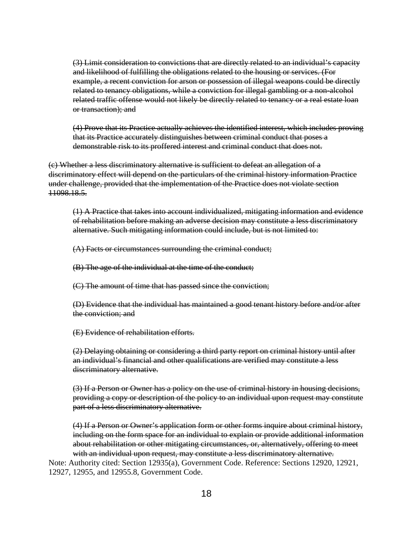(3) Limit consideration to convictions that are directly related to an individual's capacity and likelihood of fulfilling the obligations related to the housing or services. (For example, a recent conviction for arson or possession of illegal weapons could be directly related to tenancy obligations, while a conviction for illegal gambling or a non-alcohol related traffic offense would not likely be directly related to tenancy or a real estate loan or transaction); and

(4) Prove that its Practice actually achieves the identified interest, which includes proving that its Practice accurately distinguishes between criminal conduct that poses a demonstrable risk to its proffered interest and criminal conduct that does not.

(c) Whether a less discriminatory alternative is sufficient to defeat an allegation of a discriminatory effect will depend on the particulars of the criminal history information Practice under challenge, provided that the implementation of the Practice does not violate section 11098.18.5.

(1) A Practice that takes into account individualized, mitigating information and evidence of rehabilitation before making an adverse decision may constitute a less discriminatory alternative. Such mitigating information could include, but is not limited to:

(A) Facts or circumstances surrounding the criminal conduct;

(B) The age of the individual at the time of the conduct;

(C) The amount of time that has passed since the conviction;

(D) Evidence that the individual has maintained a good tenant history before and/or after the conviction; and

(E) Evidence of rehabilitation efforts.

(2) Delaying obtaining or considering a third party report on criminal history until after an individual's financial and other qualifications are verified may constitute a less discriminatory alternative.

(3) If a Person or Owner has a policy on the use of criminal history in housing decisions, providing a copy or description of the policy to an individual upon request may constitute part of a less discriminatory alternative.

(4) If a Person or Owner's application form or other forms inquire about criminal history, including on the form space for an individual to explain or provide additional information about rehabilitation or other mitigating circumstances, or, alternatively, offering to meet with an individual upon request, may constitute a less discriminatory alternative.

Note: Authority cited: Section 12935(a), Government Code. Reference: Sections 12920, 12921, 12927, 12955, and 12955.8, Government Code.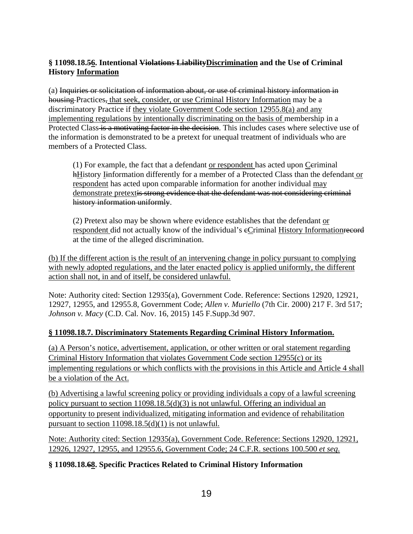## **§ 11098.18.56. Intentional Violations LiabilityDiscrimination and the Use of Criminal History Information**

(a) Inquiries or solicitation of information about, or use of criminal history information in housing Practices, that seek, consider, or use Criminal History Information may be a discriminatory Practice if they violate Government Code section 12955.8(a) and any implementing regulations by intentionally discriminating on the basis of membership in a Protected Class is a motivating factor in the decision. This includes cases where selective use of the information is demonstrated to be a pretext for unequal treatment of individuals who are members of a Protected Class.

 $(1)$  For example, the fact that a defendant or respondent has acted upon Ceriminal hHistory Iinformation differently for a member of a Protected Class than the defendant or respondent has acted upon comparable information for another individual may demonstrate pretextis strong evidence that the defendant was not considering criminal history information uniformly.

(2) Pretext also may be shown where evidence establishes that the defendant or respondent did not actually know of the individual's eCriminal History Informationrecord at the time of the alleged discrimination.

(b) If the different action is the result of an intervening change in policy pursuant to complying with newly adopted regulations, and the later enacted policy is applied uniformly, the different action shall not, in and of itself, be considered unlawful.

Note: Authority cited: Section 12935(a), Government Code. Reference: Sections 12920, 12921, 12927, 12955, and 12955.8, Government Code; *Allen v. Muriello* (7th Cir. 2000) 217 F. 3rd 517; *Johnson v. Macy* (C.D. Cal. Nov. 16, 2015) 145 F.Supp.3d 907.

#### **§ 11098.18.7. Discriminatory Statements Regarding Criminal History Information.**

(a) A Person's notice, advertisement, application, or other written or oral statement regarding Criminal History Information that violates Government Code section 12955(c) or its implementing regulations or which conflicts with the provisions in this Article and Article 4 shall be a violation of the Act.

(b) Advertising a lawful screening policy or providing individuals a copy of a lawful screening policy pursuant to section 11098.18.5(d)(3) is not unlawful. Offering an individual an opportunity to present individualized, mitigating information and evidence of rehabilitation pursuant to section 11098.18.5(d)(1) is not unlawful.

Note: Authority cited: Section 12935(a), Government Code. Reference: Sections 12920, 12921, 12926, 12927, 12955, and 12955.6, Government Code; 24 C.F.R. sections 100.500 *et seq*.

#### **§ 11098.18.68. Specific Practices Related to Criminal History Information**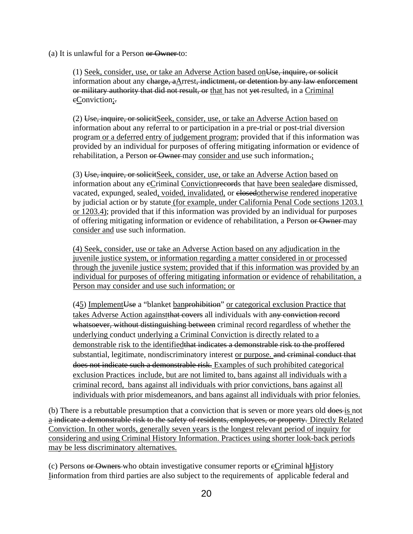(a) It is unlawful for a Person or Owner to:

(1) Seek, consider, use, or take an Adverse Action based onUse, inquire, or solicit information about any charge, aArrest, indictment, or detention by any law enforcement or military authority that did not result, or that has not vet-resulted, in a Criminal eConviction;

(2) Use, inquire, or solicitSeek, consider, use, or take an Adverse Action based on information about any referral to or participation in a pre-trial or post-trial diversion program or a deferred entry of judgement program; provided that if this information was provided by an individual for purposes of offering mitigating information or evidence of rehabilitation, a Person or Owner may consider and use such information.;

(3) Use, inquire, or solicitSeek, consider, use, or take an Adverse Action based on information about any eCriminal Convictionrecords that have been sealedare dismissed, vacated, expunged, sealed, voided, invalidated, or closedotherwise rendered inoperative by judicial action or by statute (for example, under California Penal Code sections 1203.1 or 1203.4); provided that if this information was provided by an individual for purposes of offering mitigating information or evidence of rehabilitation, a Person or Owner may consider and use such information.

(4) Seek, consider, use or take an Adverse Action based on any adjudication in the juvenile justice system, or information regarding a matter considered in or processed through the juvenile justice system; provided that if this information was provided by an individual for purposes of offering mitigating information or evidence of rehabilitation, a Person may consider and use such information; or

 $(45)$  Implement Use a "blanket ban prohibition" or categorical exclusion Practice that takes Adverse Action againstthat covers all individuals with any conviction record whatsoever, without distinguishing between criminal record regardless of whether the underlying conduct underlying a Criminal Conviction is directly related to a demonstrable risk to the identifiedthat indicates a demonstrable risk to the proffered substantial, legitimate, nondiscriminatory interest or purpose, and criminal conduct that does not indicate such a demonstrable risk. Examples of such prohibited categorical exclusion Practices include, but are not limited to, bans against all individuals with a criminal record, bans against all individuals with prior convictions, bans against all individuals with prior misdemeanors, and bans against all individuals with prior felonies.

(b) There is a rebuttable presumption that a conviction that is seven or more years old does is not a indicate a demonstrable risk to the safety of residents, employees, or property. Directly Related Conviction. In other words, generally seven years is the longest relevant period of inquiry for considering and using Criminal History Information. Practices using shorter look-back periods may be less discriminatory alternatives.

(c) Persons or Owners who obtain investigative consumer reports or cCriminal hHistory Iinformation from third parties are also subject to the requirements of applicable federal and